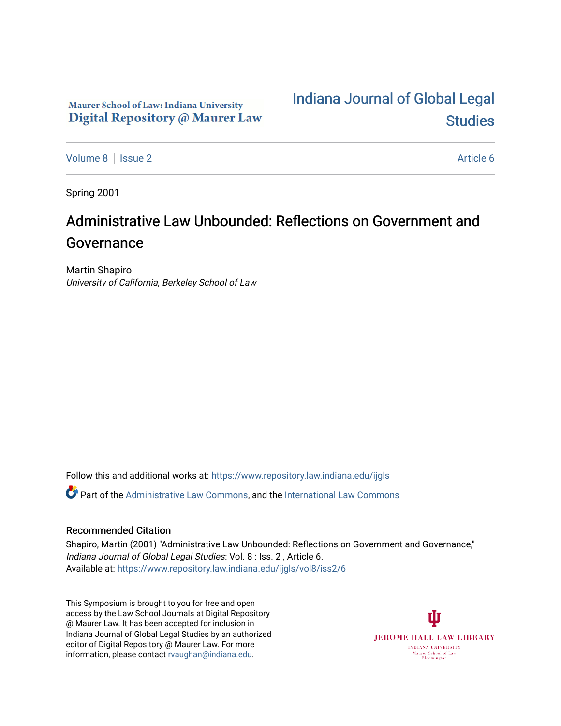### Maurer School of Law: Indiana University Digital Repository @ Maurer Law

# [Indiana Journal of Global Legal](https://www.repository.law.indiana.edu/ijgls)  **Studies**

[Volume 8](https://www.repository.law.indiana.edu/ijgls/vol8) | [Issue 2](https://www.repository.law.indiana.edu/ijgls/vol8/iss2) Article 6

Spring 2001

# Administrative Law Unbounded: Reflections on Government and Governance

Martin Shapiro University of California, Berkeley School of Law

Follow this and additional works at: [https://www.repository.law.indiana.edu/ijgls](https://www.repository.law.indiana.edu/ijgls?utm_source=www.repository.law.indiana.edu%2Fijgls%2Fvol8%2Fiss2%2F6&utm_medium=PDF&utm_campaign=PDFCoverPages)   $\bullet$  Part of the [Administrative Law Commons,](http://network.bepress.com/hgg/discipline/579?utm_source=www.repository.law.indiana.edu%2Fijgls%2Fvol8%2Fiss2%2F6&utm_medium=PDF&utm_campaign=PDFCoverPages) and the [International Law Commons](http://network.bepress.com/hgg/discipline/609?utm_source=www.repository.law.indiana.edu%2Fijgls%2Fvol8%2Fiss2%2F6&utm_medium=PDF&utm_campaign=PDFCoverPages)

#### Recommended Citation

Shapiro, Martin (2001) "Administrative Law Unbounded: Reflections on Government and Governance," Indiana Journal of Global Legal Studies: Vol. 8 : Iss. 2 , Article 6. Available at: [https://www.repository.law.indiana.edu/ijgls/vol8/iss2/6](https://www.repository.law.indiana.edu/ijgls/vol8/iss2/6?utm_source=www.repository.law.indiana.edu%2Fijgls%2Fvol8%2Fiss2%2F6&utm_medium=PDF&utm_campaign=PDFCoverPages) 

This Symposium is brought to you for free and open access by the Law School Journals at Digital Repository @ Maurer Law. It has been accepted for inclusion in Indiana Journal of Global Legal Studies by an authorized editor of Digital Repository @ Maurer Law. For more information, please contact [rvaughan@indiana.edu](mailto:rvaughan@indiana.edu).

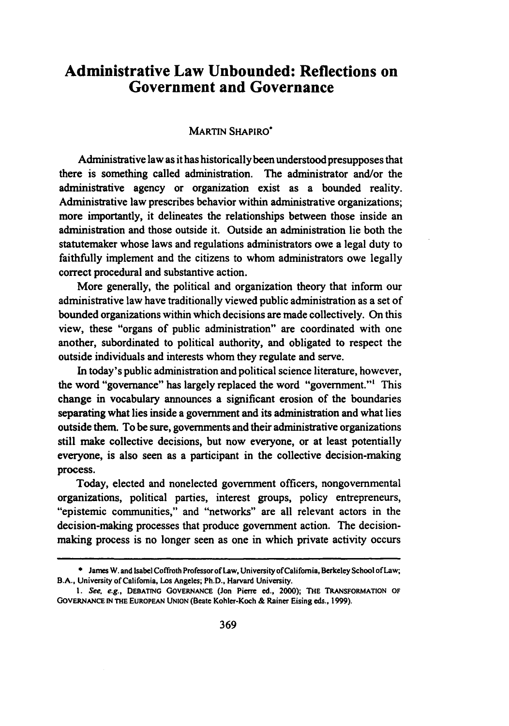## **Administrative Law Unbounded: Reflections on Government and Governance**

### MARTIN SHAPIRO\*

Administrative law as it has historically been understood presupposes that there is something called administration. The administrator and/or the administrative agency or organization exist as a bounded reality. Administrative law prescribes behavior within administrative organizations; more importantly, it delineates the relationships between those inside an administration and those outside it. Outside an administration lie both the statutemaker whose laws and regulations administrators owe a legal duty to faithfully implement and the citizens to whom administrators owe legally correct procedural and substantive action.

More generally, the political and organization theory that inform our administrative law have traditionally viewed public administration as a set of bounded organizations within which decisions are made collectively. On this view, these "organs of public administration" are coordinated with one another, subordinated to political authority, and obligated to respect the outside individuals and interests whom they regulate and serve.

In today's public administration and political science literature, however, the word "governance" has largely replaced the word "government."' This change in vocabulary announces a significant erosion of the boundaries separating what lies inside a government and its administration and what lies outside them. To be sure, governments and their administrative organizations still make collective decisions, but now everyone, or at least potentially everyone, is also seen as a participant in the collective decision-making process.

Today, elected and nonelected government officers, nongovernmental organizations, political parties, interest groups, policy entrepreneurs, "epistemic communities," and "networks" are all relevant actors in the decision-making processes that produce government action. The decisionmaking process is no longer seen as one in which private activity occurs

**<sup>\*</sup>** James W. and Isabel Coffroth Professor of Law, University of California, Berkeley School of Law; B.A., University of California, Los Angeles; Ph.D., Harvard University.

**<sup>1.</sup> See. e.g., DEBATING GOVERNANCE** (Jon Pierre **ed.,** 2000); THE **TRANSFORMATION** OF **GOVERNANCE IN THE EUROPEAN UNION** (Beate Kohler-Koch & Rainer Eising eds., **1999).**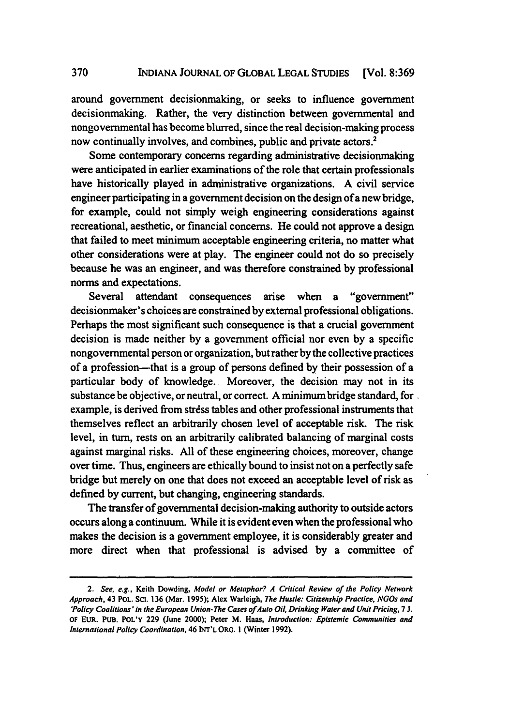around government decisionmaking, or seeks to influence government decisionmaking. Rather, the very distinction between governmental and nongovernmental has become blurred, since the real decision-making process now continually involves, and combines, public and private actors.<sup>2</sup>

Some contemporary concerns regarding administrative decisionmaking were anticipated in earlier examinations of the role that certain professionals have historically played in administrative organizations. A civil service engineer participating in a government decision on the design of a new bridge, for example, could not simply weigh engineering considerations against recreational, aesthetic, or financial concerns. He could not approve a design that failed to meet minimum acceptable engineering criteria, no matter what other considerations were at play. The engineer could not do so precisely because he was an engineer, and was therefore constrained by professional norms and expectations.

Several attendant consequences arise when a "government" decisionmaker's choices are constrained by external professional obligations. Perhaps the most significant such consequence is that a crucial government decision is made neither **by** a government official nor even **by** a specific nongovernmental person or organization, but rather **by** the collective practices of a profession-that is a group of persons defined **by** their possession of a particular body of knowledge. Moreover, the decision may not in its substance be objective, or neutral, or correct. A minimum bridge standard, for. example, is derived from stress tables and other professional instruments that themselves reflect an arbitrarily chosen level of acceptable risk. The risk level, in turn, rests on an arbitrarily calibrated balancing of marginal costs against marginal risks. **All** of these engineering choices, moreover, change over time. Thus, engineers are ethically bound to insist not on a perfectly safe bridge but merely on one that does not exceed an acceptable level of risk as defined **by** current, but changing, engineering standards.

The transfer of governmental decision-making authority to outside actors occurs along a continuum. While it is evident even when the professional who makes the decision is a government employee, it is considerably greater and more direct when that professional is advised **by** a committee of

*<sup>2.</sup>* See, e.g., Keith Dowding, *Model or* Metaphor? *A Critical Review of the Policy* Network Approach, 43 POL. SCi. **136** (Mar. **1995);** Alex **Warleigh,** *The* Hustle: Citizenship Practice. NGOs and 'Policy Coalitions' in the European Union-The Cases of Auto Oil, Drinking Water and Unit Pricing, 7 J. **OF EUR. PUB. POL'Y 229** (June 2000); Peter **M. Haas,** *Introduction:* Epistemic Communities and *International Policy Coordination,* **46 INT'L ORG. I (Winter 1992).**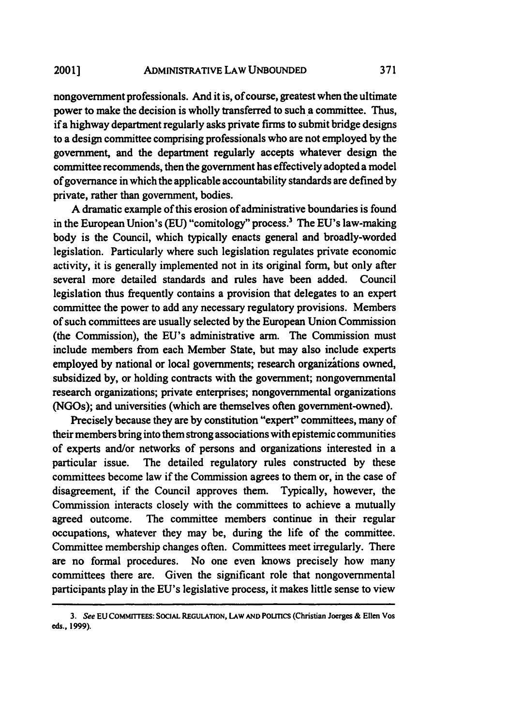371

nongovernment professionals. And it is, of course, greatest when the ultimate power to make the decision is wholly transferred to such a committee. Thus, if a highway department regularly asks private firms to submit bridge designs to a design committee comprising professionals who are not employed **by** the government, and the department regularly accepts whatever design the committee recommends, then the government has effectively adopted a model of governance in which the applicable accountability standards are defined **by** private, rather **than** government, bodies.

**A** dramatic example of this erosion of administrative boundaries is found in the European Union's **(EU)** "comitology" process.3 The EU's law-making body is the Council, which typically enacts general and broadly-worded legislation. Particularly where such legislation regulates private economic activity, it is generally implemented not in its original form, but only after several more detailed standards and rules have been added. Council legislation thus frequently contains a provision that delegates to an expert committee the power to add any necessary regulatory provisions. Members of such committees are usually selected **by** the European Union Commission (the Commission), the EU's administrative arm. The Commission must include members from each Member State, but may also include experts employed **by** national or local governments; research organizations owned, subsidized **by,** or holding contracts with the government; nongovernmental research organizations; private enterprises; nongovernmental organizations (NGOs); and universities (which are themselves often government-owned).

Precisely because they are **by** constitution "expert" committees, many of their members bring into them strong associations with epistemic communities of experts and/or networks of persons and organizations interested in a particular issue. The detailed regulatory rules constructed **by** these committees become law if the Commission agrees to them or, in the case of disagreement, if the Council approves them. Typically, however, the Commission interacts closely with the committees to achieve a mutually agreed outcome. The committee members continue in their regular occupations, whatever they may be, during the life of the committee. Committee membership changes often. Committees meet irregularly. There are no formal procedures. No one even knows precisely how many committees there are. Given the significant role that nongovernmental participants play in the EU's legislative process, it makes little sense to view

*<sup>3.</sup>* **See EU COMMITTEES: SOCIAL REGULATION, LAW AND POLICS** (Christian Joerges **& Ellen Vos** eds., **1999).**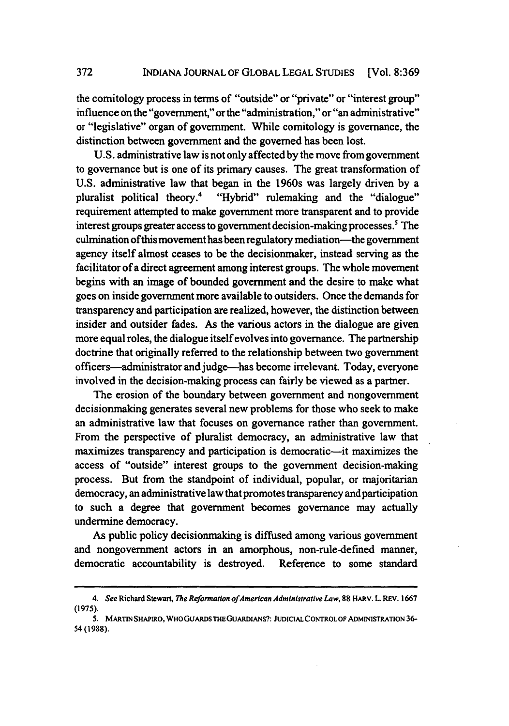the comitology process in terms of "outside" or "private" or "interest group" influence on the "government," or the "administration," or "an administrative" or "legislative" organ of government. While comitology is governance, the distinction between government and the governed has been lost.

U.S. administrative law is not only affected by the move from government to governance but is one of its primary causes. The great transformation of U.S. administrative law that began in the 1960s was largely driven by a pluralist political theory.' "Hybrid" rulemaking and the "dialogue" requirement attempted to make government more transparent and to provide interest groups greater access to government decision-making processes.5 The culmination of this movement has been regulatory mediation-the government agency itself almost ceases to be the decisionmaker, instead serving as the facilitator of a direct agreement among interest groups. The whole movement begins with an image of bounded government and the desire to make what goes on inside government more available to outsiders. Once the demands for transparency and participation are realized, however, the distinction between insider and outsider fades. As the various actors in the dialogue are given more equal roles, the dialogue itself evolves into governance. The partnership doctrine that originally referred to the relationship between two government officers-administrator and judge-has become irrelevant. Today, everyone involved in the decision-making process can fairly be viewed as a partner.

The erosion of the boundary between government and nongovernment decisionmaking generates several new problems for those who seek to make an administrative law that focuses on governance rather than government. From the perspective of pluralist democracy, an administrative law that maximizes transparency and participation is democratic-it maximizes the access of "outside" interest groups to the government decision-making process. But from the standpoint of individual, popular, or majoritarian democracy, an administrative law that promotes transparency and participation to such a degree that government becomes governance may actually undermine democracy.

As public policy decisionmaking is diffused among various government and nongovemment actors in an amorphous, non-rule-defined manner, democratic accountability is destroyed. Reference to some standard

**<sup>4.</sup> See Richard Stewart,** *The Reformation ofAmerican Administrative Law,* **88 HARv. L REV. 1667 (1975).**

**<sup>5.</sup> MARTIN** SHAPIRO, **WHO GUARDS THEGUARDIANS?: JUDICIAL** CONTROLOF **ADMINISTRATION 36- 54(1988).**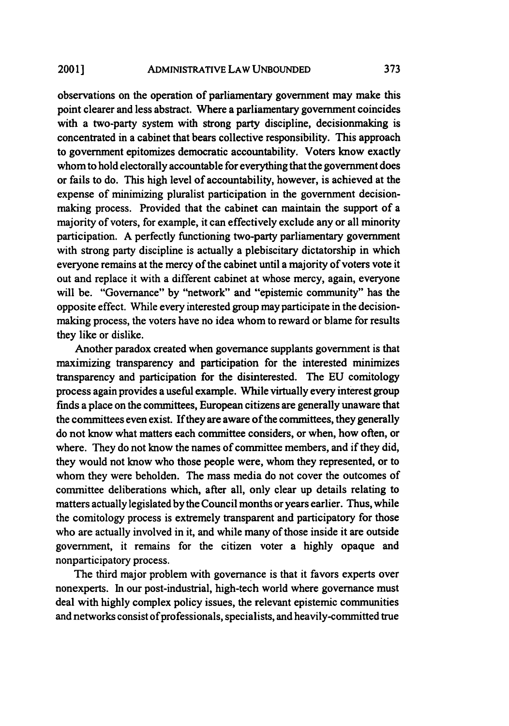observations on the operation of parliamentary government may make this point clearer and less abstract. Where a parliamentary government coincides with a two-party system with strong party discipline, decisionmaking is concentrated in a cabinet that bears collective responsibility. This approach to government epitomizes democratic accountability. Voters know exactly whom to hold electorally accountable for everything that the government does or fails to do. This high level of accountability, however, is achieved at the expense of minimizing pluralist participation in the government decisionmaking process. Provided that the cabinet can maintain the support of a majority of voters, for example, it can effectively exclude any or all minority participation. A perfectly functioning two-party parliamentary government with strong party discipline is actually a plebiscitary dictatorship in which everyone remains at the mercy of the cabinet until a majority of voters vote it out and replace it with a different cabinet at whose mercy, again, everyone will be. "Governance" by "network" and "epistemic community" has the opposite effect. While every interested group may participate in the decisionmaking process, the voters have no idea whom to reward or blame for results they like or dislike.

Another paradox created when governance supplants government is that maximizing transparency and participation for the interested minimizes transparency and participation for the disinterested. The **EU** comitology process again provides a useful example. While virtually every interest group finds a place on the committees, European citizens are generally unaware that the committees even exist. If they are aware of the committees, they generally do not know what matters each committee considers, or when, how often, or where. They do not know the names of committee members, and if they did, they would not know who those people were, whom they represented, or to whom they were beholden. The mass media do not cover the outcomes of committee deliberations which, after all, only clear up details relating to matters actually legislated by the Council months or years earlier. Thus, while the comitology process is extremely transparent and participatory for those who are actually involved in it, and while many of those inside it are outside government, it remains for the citizen voter a **highly** opaque and nonparticipatory process.

The third major problem with governance is that it favors experts over nonexperts. In our post-industrial, high-tech world where governance must deal with **highly** complex policy issues, the relevant epistemic communities and networks consist of professionals, specialists, and heavily-committed true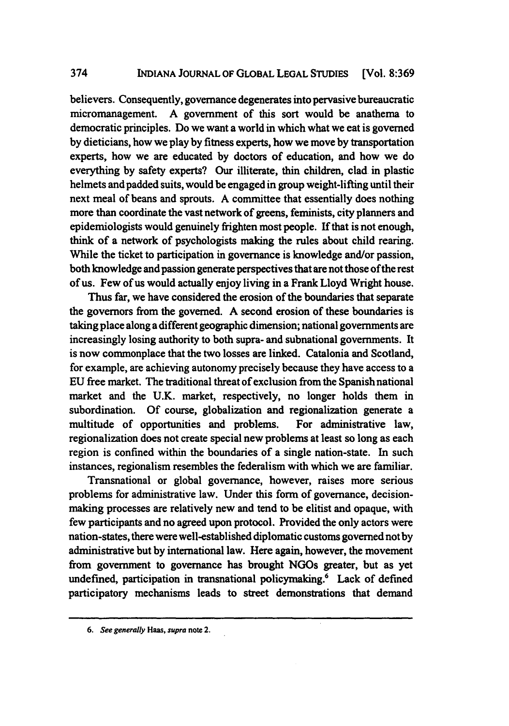believers. Consequently, governance degenerates into pervasive bureaucratic micromanagement. **A** government of this sort would be anathema to democratic principles. Do we want a world in which what we eat is governed **by** dieticians, how we play **by** fitness experts, how we move **by** transportation experts, how we are educated **by** doctors of education, and how we do everything **by** safety experts? Our illiterate, thin children, clad in plastic helmets and padded suits, would be engaged in group weight-lifting until their next meal of beans and sprouts. **A** committee that essentially does nothing more than coordinate the vast network of greens, feminists, city planners and epidemiologists would genuinely frighten most people. **If** that is not enough, think of a network of psychologists making the rules about child rearing. While the ticket to participation in governance is knowledge and/or passion, both knowledge and passion generate perspectives that are not those of the rest of us. Few of us would actually enjoy living in a Frank Lloyd Wright house.

Thus far, we have considered the erosion of the boundaries that separate the governors from the governed. **A** second erosion of these boundaries is taking place along a different geographic dimension; national governments are increasingly losing authority to both supra- and subnational governments. It is now commonplace that the two losses are linked. Catalonia and Scotland, for example, are achieving autonomy precisely because they have access to a **EU** free market. The traditional threat of exclusion from the Spanish national market and the **U.K.** market, respectively, no longer holds them in subordination. **Of** course, globalization and regionalization generate a multitude of opportunities and problems. For administrative law, regionalization does not create special new problems at least so long as each region is confined within the boundaries of a single nation-state. In such instances, regionalism resembles the federalism with which we are familiar.

Transnational or global governance, however, raises more serious problems for administrative law. Under this form of governance, decisionmaking processes are relatively new and tend to be elitist and opaque, with few participants and no agreed upon protocol. Provided the only actors were nation-states, there were well-established diplomatic customs governed not **by** administrative but **by** international law. Here again, however, the movement from government to governance has brought NGOs greater, but as yet undefined, participation in transnational policymaking.<sup>6</sup> Lack of defined participatory mechanisms leads to street demonstrations that demand

**<sup>6.</sup> See generally** *Haas,* **supra** note 2.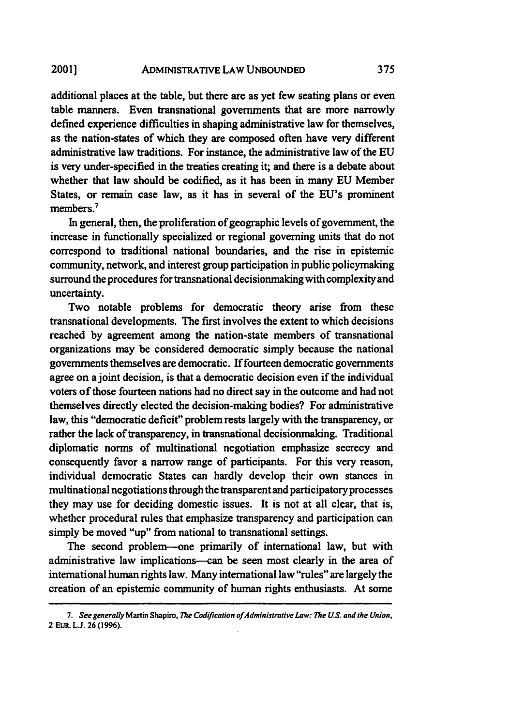additional places at the table, but there are as yet few seating plans or even table manners. Even transnational governments that are more narrowly defined experience difficulties in shaping administrative law for themselves, as the nation-states of which they are composed often have very different administrative law traditions. For instance, the administrative law of the **EU** is very under-specified in the treaties creating it; and there is a debate about whether that law should be codified, as it has been in many **EU** Member States, or remain case law, as it has in several of the EU's prominent members.<sup>7</sup>

In general, then, the proliferation of geographic levels of government, the increase in functionally specialized or regional governing units that do not correspond to traditional national boundaries, and the rise in epistemic community, network, and interest group participation in public policymaking surround the procedures for transnational decisionmaking with complexity and uncertainty.

Two notable problems for democratic theory arise from these transnational developments. The first involves the extent to which decisions reached **by** agreement among the nation-state members of transnational organizations may be considered democratic simply because the national governments themselves are democratic. **If** fourteen democratic governments agree on a joint decision, is that a democratic decision even if the individual voters of those fourteen nations had no direct say in the outcome and had not themselves directly elected the decision-making bodies? For administrative law, this "democratic deficit" problem rests largely with the transparency, or rather the lack of transparency, in transnational decisionmaking. Traditional diplomatic norms of multinational negotiation emphasize secrecy and consequently favor a narrow range of participants. For this very reason, individual democratic States can hardly develop their own stances in multinational negotiations through the transparent and participatory processes they may use for deciding domestic issues. It is not at all clear, that is, whether procedural rules that emphasize transparency and participation can simply be moved "up" from national to transnational settings.

The second problem--one primarily of international law, but with administrative law implications-can be seen most clearly in the area of international human rights law. Many international law "rules" are largely the creation of an epistemic community of human rights enthusiasts. At some

**<sup>7.</sup> See generally** Martin Shapiro, *The* **Codification ofAdministrative Law:** *The U.S.* **and the Union, 2 EUR. LJ. 26 (1996).**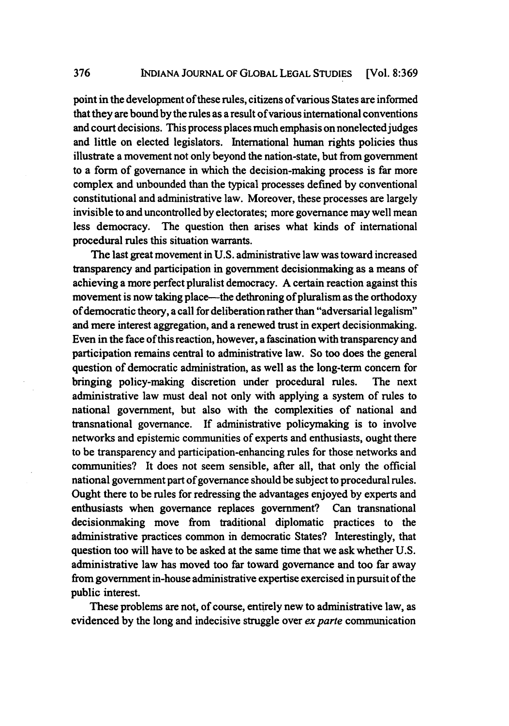point in the development of these rules, citizens of various States are informed that they are bound **by** the rules as a result of various international conventions and court decisions. This process places much emphasis on nonelected judges and little on elected legislators. International human rights policies thus illustrate a movement not only beyond the nation-state, but from government to a form of governance in which the decision-making process is far more complex and unbounded than the typical processes defined **by** conventional constitutional and administrative law. Moreover, these processes are largely invisible to and uncontrolled **by** electorates; more governance may well mean less democracy. The question then arises what kinds of international procedural rules this situation warrants.

The last great movement in **U.S.** administrative law was toward increased transparency and participation in government decisionmaking as a means of achieving a more perfect pluralist democracy. **A** certain reaction against this movement is now taking place-the dethroning of pluralism as the orthodoxy of democratic theory, a call for deliberation rather **than** "adversarial legalism" and mere interest aggregation, and a renewed trust in expert decisionmaking. Even in the face of this reaction, however, a fascination with transparency and participation remains central to administrative law. So too does the general question of democratic administration, as well as the long-term concern for bringing policy-making discretion under procedural rules. The next administrative law must deal not only with applying a system of rules to national government, but also with the complexities of national and transnational governance. **If** administrative policymaking is to involve networks and epistemic communities of experts and enthusiasts, ought there to be transparency and participation-enhancing rules for those networks and communities? It does not seem sensible, after all, that only the official national government part of governance should be subject to procedural rules. Ought there to be rules for redressing the advantages enjoyed **by** experts and enthusiasts when governance replaces government? Can transnational decisionmaking move from traditional diplomatic practices to the administrative practices common in democratic States? Interestingly, that question too will have to be asked at the same time that we ask whether **U.S.** administrative law has moved too far toward governance and too far away from government in-house administrative expertise exercised in pursuit of the public interest.

These problems are not, of course, entirely new to administrative law, as evidenced **by** the long and indecisive struggle over *ex parte* communication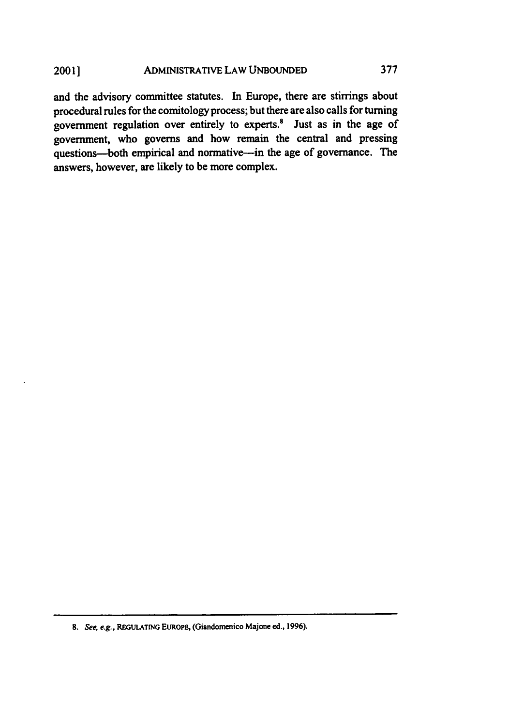#### ADMINISTRATIVE LAW **UNBOUNDED 2001]**

and the advisory committee statutes. In Europe, there are stirrings about procedural rules for the comitology process; but there are also calls for turning government regulation over entirely to experts.' Just as in the age of government, who governs and how remain the central and pressing questions-both empirical and normative-in the age of governance. The answers, however, are likely to be more complex.

*<sup>8.</sup>* See, e.g., **REGULATING** EUROPE, (Giandomenico Majone ed., **1996).**